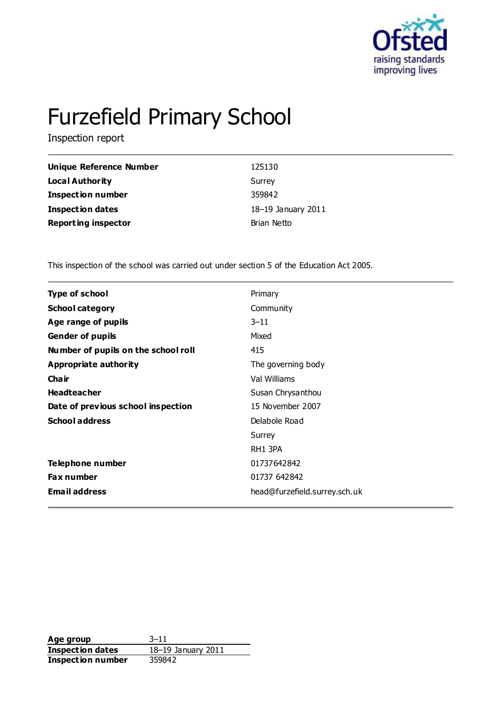

# Furzefield Primary School

Inspection report

| Unique Reference Number    | 125130             |
|----------------------------|--------------------|
| Local Authority            | Surrey             |
| <b>Inspection number</b>   | 359842             |
| <b>Inspection dates</b>    | 18-19 January 2011 |
| <b>Reporting inspector</b> | Brian Netto        |

This inspection of the school was carried out under section 5 of the Education Act 2005.

| <b>Type of school</b>               | Primary                       |
|-------------------------------------|-------------------------------|
| <b>School category</b>              | Community                     |
| Age range of pupils                 | $3 - 11$                      |
| <b>Gender of pupils</b>             | Mixed                         |
| Number of pupils on the school roll | 415                           |
| Appropriate authority               | The governing body            |
| Cha ir                              | Val Williams                  |
| <b>Headteacher</b>                  | Susan Chrysanthou             |
| Date of previous school inspection  | 15 November 2007              |
| <b>School address</b>               | Delabole Road                 |
|                                     | Surrey                        |
|                                     | RH1 3PA                       |
| Telephone number                    | 01737642842                   |
| <b>Fax number</b>                   | 01737 642842                  |
| <b>Email address</b>                | head@furzefield.surrey.sch.uk |
|                                     |                               |

**Age group** 3–11 **Inspection dates** 18–19 January 2011 **Inspection number** 359842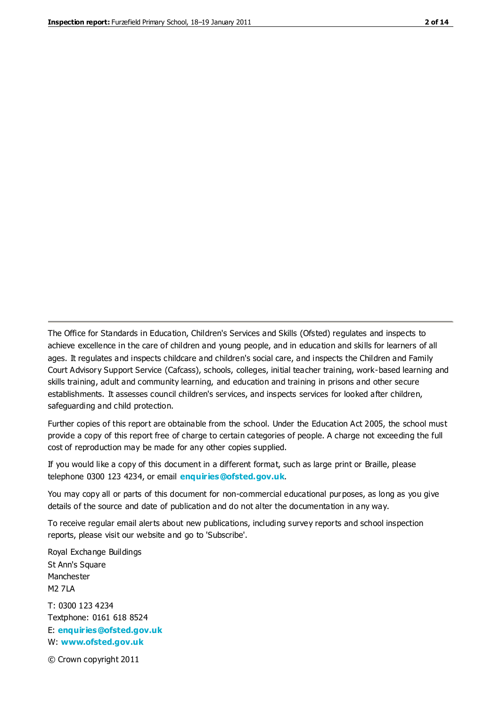The Office for Standards in Education, Children's Services and Skills (Ofsted) regulates and inspects to achieve excellence in the care of children and young people, and in education and skills for learners of all ages. It regulates and inspects childcare and children's social care, and inspects the Children and Family Court Advisory Support Service (Cafcass), schools, colleges, initial teacher training, work-based learning and skills training, adult and community learning, and education and training in prisons and other secure establishments. It assesses council children's services, and inspects services for looked after children, safeguarding and child protection.

Further copies of this report are obtainable from the school. Under the Education Act 2005, the school must provide a copy of this report free of charge to certain categories of people. A charge not exceeding the full cost of reproduction may be made for any other copies supplied.

If you would like a copy of this document in a different format, such as large print or Braille, please telephone 0300 123 4234, or email **[enquiries@ofsted.gov.uk](mailto:enquiries@ofsted.gov.uk)**.

You may copy all or parts of this document for non-commercial educational purposes, as long as you give details of the source and date of publication and do not alter the documentation in any way.

To receive regular email alerts about new publications, including survey reports and school inspection reports, please visit our website and go to 'Subscribe'.

Royal Exchange Buildings St Ann's Square Manchester M2 7LA T: 0300 123 4234 Textphone: 0161 618 8524 E: **[enquiries@ofsted.gov.uk](mailto:enquiries@ofsted.gov.uk)**

W: **[www.ofsted.gov.uk](http://www.ofsted.gov.uk/)**

© Crown copyright 2011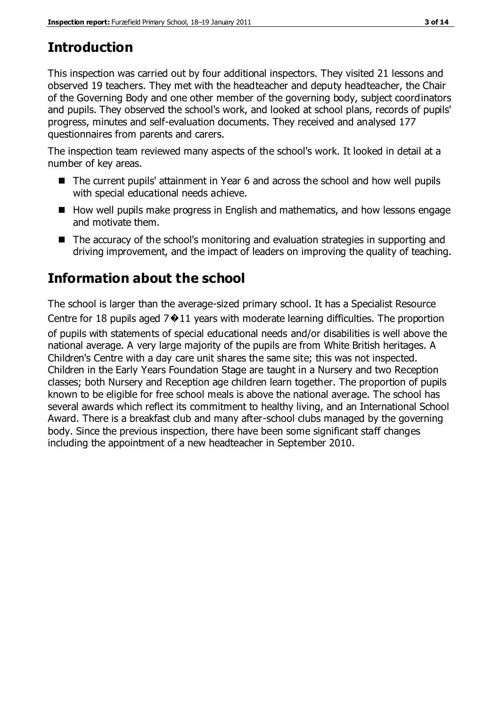## **Introduction**

This inspection was carried out by four additional inspectors. They visited 21 lessons and observed 19 teachers. They met with the headteacher and deputy headteacher, the Chair of the Governing Body and one other member of the governing body, subject coordinators and pupils. They observed the school's work, and looked at school plans, records of pupils' progress, minutes and self-evaluation documents. They received and analysed 177 questionnaires from parents and carers.

The inspection team reviewed many aspects of the school's work. It looked in detail at a number of key areas.

- The current pupils' attainment in Year 6 and across the school and how well pupils with special educational needs achieve.
- $\blacksquare$  How well pupils make progress in English and mathematics, and how lessons engage and motivate them.
- The accuracy of the school's monitoring and evaluation strategies in supporting and driving improvement, and the impact of leaders on improving the quality of teaching.

## **Information about the school**

The school is larger than the average-sized primary school. It has a Specialist Resource Centre for 18 pupils aged  $7*11$  years with moderate learning difficulties. The proportion of pupils with statements of special educational needs and/or disabilities is well above the national average. A very large majority of the pupils are from White British heritages. A Children's Centre with a day care unit shares the same site; this was not inspected. Children in the Early Years Foundation Stage are taught in a Nursery and two Reception classes; both Nursery and Reception age children learn together. The proportion of pupils known to be eligible for free school meals is above the national average. The school has several awards which reflect its commitment to healthy living, and an International School Award. There is a breakfast club and many after-school clubs managed by the governing body. Since the previous inspection, there have been some significant staff changes including the appointment of a new headteacher in September 2010.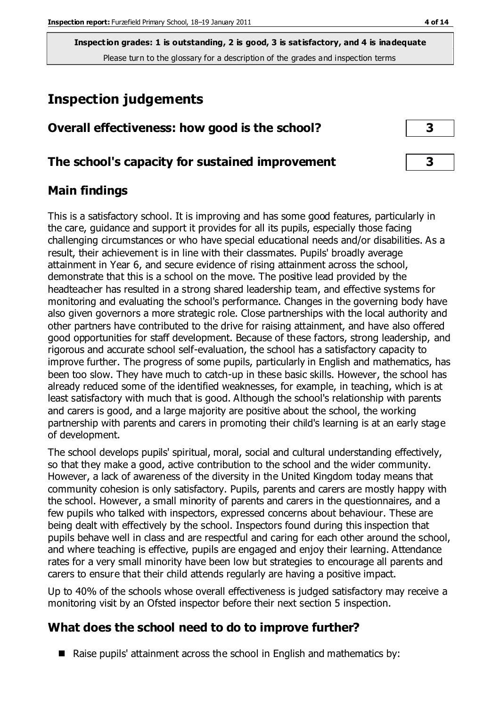**Inspection grades: 1 is outstanding, 2 is good, 3 is satisfactory, and 4 is inadequate** Please turn to the glossary for a description of the grades and inspection terms

## **Inspection judgements**

| Overall effectiveness: how good is the school?  |  |
|-------------------------------------------------|--|
| The school's capacity for sustained improvement |  |

#### **Main findings**

This is a satisfactory school. It is improving and has some good features, particularly in the care, guidance and support it provides for all its pupils, especially those facing challenging circumstances or who have special educational needs and/or disabilities. As a result, their achievement is in line with their classmates. Pupils' broadly average attainment in Year 6, and secure evidence of rising attainment across the school, demonstrate that this is a school on the move. The positive lead provided by the headteacher has resulted in a strong shared leadership team, and effective systems for monitoring and evaluating the school's performance. Changes in the governing body have also given governors a more strategic role. Close partnerships with the local authority and other partners have contributed to the drive for raising attainment, and have also offered good opportunities for staff development. Because of these factors, strong leadership, and rigorous and accurate school self-evaluation, the school has a satisfactory capacity to improve further. The progress of some pupils, particularly in English and mathematics, has been too slow. They have much to catch-up in these basic skills. However, the school has already reduced some of the identified weaknesses, for example, in teaching, which is at least satisfactory with much that is good. Although the school's relationship with parents and carers is good, and a large majority are positive about the school, the working partnership with parents and carers in promoting their child's learning is at an early stage of development.

The school develops pupils' spiritual, moral, social and cultural understanding effectively, so that they make a good, active contribution to the school and the wider community. However, a lack of awareness of the diversity in the United Kingdom today means that community cohesion is only satisfactory. Pupils, parents and carers are mostly happy with the school. However, a small minority of parents and carers in the questionnaires, and a few pupils who talked with inspectors, expressed concerns about behaviour. These are being dealt with effectively by the school. Inspectors found during this inspection that pupils behave well in class and are respectful and caring for each other around the school, and where teaching is effective, pupils are engaged and enjoy their learning. Attendance rates for a very small minority have been low but strategies to encourage all parents and carers to ensure that their child attends regularly are having a positive impact.

Up to 40% of the schools whose overall effectiveness is judged satisfactory may receive a monitoring visit by an Ofsted inspector before their next section 5 inspection.

#### **What does the school need to do to improve further?**

 $\blacksquare$  Raise pupils' attainment across the school in English and mathematics by: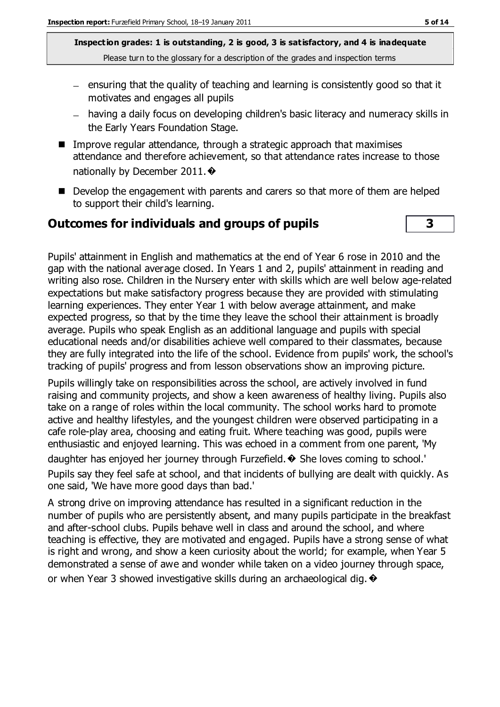**Inspection grades: 1 is outstanding, 2 is good, 3 is satisfactory, and 4 is inadequate** Please turn to the glossary for a description of the grades and inspection terms

- $=$  ensuring that the quality of teaching and learning is consistently good so that it motivates and engages all pupils
- having a daily focus on developing children's basic literacy and numeracy skills in the Early Years Foundation Stage.
- Improve regular attendance, through a strategic approach that maximises attendance and therefore achievement, so that attendance rates increase to those nationally by December 2011. ♦
- Develop the engagement with parents and carers so that more of them are helped to support their child's learning.

#### **Outcomes for individuals and groups of pupils 3**

Pupils' attainment in English and mathematics at the end of Year 6 rose in 2010 and the gap with the national average closed. In Years 1 and 2, pupils' attainment in reading and writing also rose. Children in the Nursery enter with skills which are well below age-related expectations but make satisfactory progress because they are provided with stimulating learning experiences. They enter Year 1 with below average attainment, and make expected progress, so that by the time they leave the school their attainment is broadly average. Pupils who speak English as an additional language and pupils with special educational needs and/or disabilities achieve well compared to their classmates, because they are fully integrated into the life of the school. Evidence from pupils' work, the school's tracking of pupils' progress and from lesson observations show an improving picture.

Pupils willingly take on responsibilities across the school, are actively involved in fund raising and community projects, and show a keen awareness of healthy living. Pupils also take on a range of roles within the local community. The school works hard to promote active and healthy lifestyles, and the youngest children were observed participating in a cafe role-play area, choosing and eating fruit. Where teaching was good, pupils were enthusiastic and enjoyed learning. This was echoed in a comment from one parent, 'My daughter has enjoyed her journey through Furzefield.� She loves coming to school.' Pupils say they feel safe at school, and that incidents of bullying are dealt with quickly. As one said, 'We have more good days than bad.'

A strong drive on improving attendance has resulted in a significant reduction in the number of pupils who are persistently absent, and many pupils participate in the breakfast and after-school clubs. Pupils behave well in class and around the school, and where teaching is effective, they are motivated and engaged. Pupils have a strong sense of what is right and wrong, and show a keen curiosity about the world; for example, when Year 5 demonstrated a sense of awe and wonder while taken on a video journey through space, or when Year 3 showed investigative skills during an archaeological dig.  $\bullet$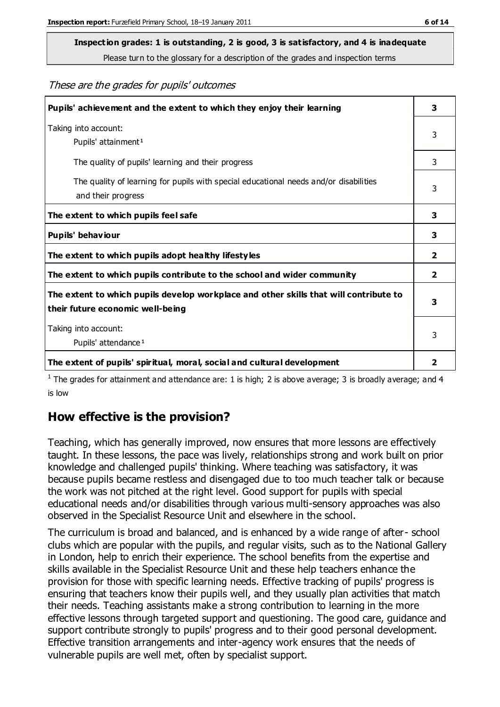## **Inspection grades: 1 is outstanding, 2 is good, 3 is satisfactory, and 4 is inadequate**

Please turn to the glossary for a description of the grades and inspection terms

These are the grades for pupils' outcomes

| Pupils' achievement and the extent to which they enjoy their learning                                                     | 3 |
|---------------------------------------------------------------------------------------------------------------------------|---|
| Taking into account:<br>Pupils' attainment <sup>1</sup>                                                                   | 3 |
| The quality of pupils' learning and their progress                                                                        | 3 |
| The quality of learning for pupils with special educational needs and/or disabilities<br>and their progress               | 3 |
| The extent to which pupils feel safe                                                                                      | 3 |
| Pupils' behaviour                                                                                                         | 3 |
| The extent to which pupils adopt healthy lifestyles                                                                       | 2 |
| The extent to which pupils contribute to the school and wider community                                                   |   |
| The extent to which pupils develop workplace and other skills that will contribute to<br>their future economic well-being |   |
| Taking into account:<br>Pupils' attendance <sup>1</sup>                                                                   | 3 |
| The extent of pupils' spiritual, moral, social and cultural development                                                   | 2 |

<sup>1</sup> The grades for attainment and attendance are: 1 is high; 2 is above average; 3 is broadly average; and 4 is low

#### **How effective is the provision?**

Teaching, which has generally improved, now ensures that more lessons are effectively taught. In these lessons, the pace was lively, relationships strong and work built on prior knowledge and challenged pupils' thinking. Where teaching was satisfactory, it was because pupils became restless and disengaged due to too much teacher talk or because the work was not pitched at the right level. Good support for pupils with special educational needs and/or disabilities through various multi-sensory approaches was also observed in the Specialist Resource Unit and elsewhere in the school.

The curriculum is broad and balanced, and is enhanced by a wide range of after- school clubs which are popular with the pupils, and regular visits, such as to the National Gallery in London, help to enrich their experience. The school benefits from the expertise and skills available in the Specialist Resource Unit and these help teachers enhance the provision for those with specific learning needs. Effective tracking of pupils' progress is ensuring that teachers know their pupils well, and they usually plan activities that match their needs. Teaching assistants make a strong contribution to learning in the more effective lessons through targeted support and questioning. The good care, guidance and support contribute strongly to pupils' progress and to their good personal development. Effective transition arrangements and inter-agency work ensures that the needs of vulnerable pupils are well met, often by specialist support.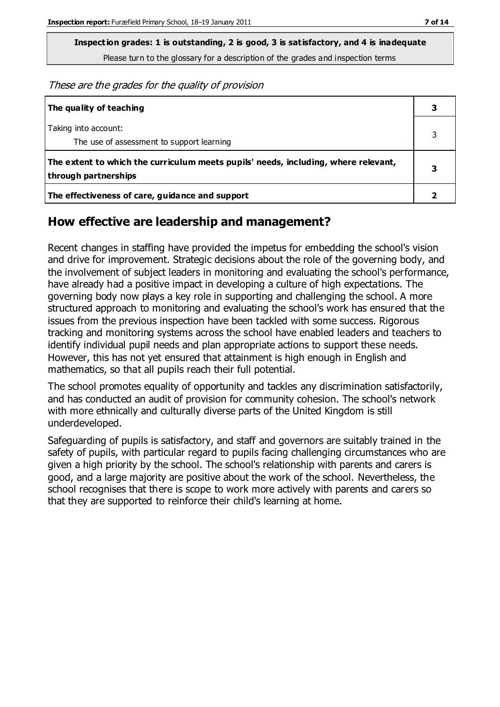**Inspection grades: 1 is outstanding, 2 is good, 3 is satisfactory, and 4 is inadequate** Please turn to the glossary for a description of the grades and inspection terms

These are the grades for the quality of provision

| The quality of teaching                                                                                    |   |
|------------------------------------------------------------------------------------------------------------|---|
| Taking into account:<br>The use of assessment to support learning                                          |   |
| The extent to which the curriculum meets pupils' needs, including, where relevant,<br>through partnerships | 3 |
| The effectiveness of care, guidance and support                                                            |   |

#### **How effective are leadership and management?**

Recent changes in staffing have provided the impetus for embedding the school's vision and drive for improvement. Strategic decisions about the role of the governing body, and the involvement of subject leaders in monitoring and evaluating the school's performance, have already had a positive impact in developing a culture of high expectations. The governing body now plays a key role in supporting and challenging the school. A more structured approach to monitoring and evaluating the school's work has ensured that the issues from the previous inspection have been tackled with some success. Rigorous tracking and monitoring systems across the school have enabled leaders and teachers to identify individual pupil needs and plan appropriate actions to support these needs. However, this has not yet ensured that attainment is high enough in English and mathematics, so that all pupils reach their full potential.

The school promotes equality of opportunity and tackles any discrimination satisfactorily, and has conducted an audit of provision for community cohesion. The school's network with more ethnically and culturally diverse parts of the United Kingdom is still underdeveloped.

Safeguarding of pupils is satisfactory, and staff and governors are suitably trained in the safety of pupils, with particular regard to pupils facing challenging circumstances who are given a high priority by the school. The school's relationship with parents and carers is good, and a large majority are positive about the work of the school. Nevertheless, the school recognises that there is scope to work more actively with parents and carers so that they are supported to reinforce their child's learning at home.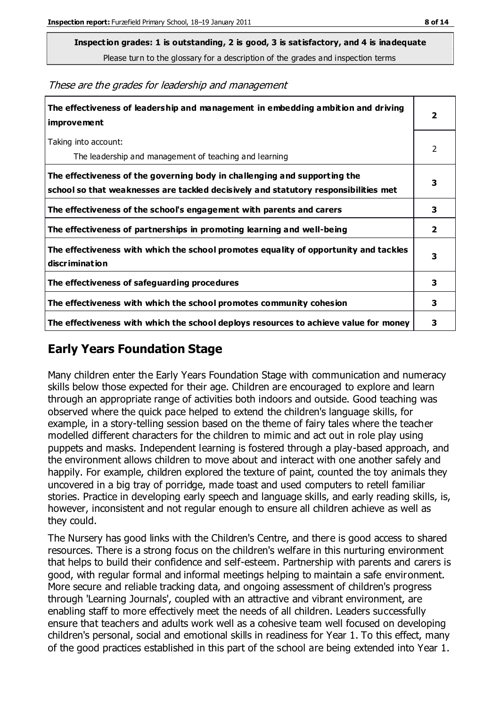**Inspection grades: 1 is outstanding, 2 is good, 3 is satisfactory, and 4 is inadequate**

Please turn to the glossary for a description of the grades and inspection terms

These are the grades for leadership and management

| The effectiveness of leadership and management in embedding ambition and driving<br><b>improvement</b>                                                           | $\overline{2}$ |
|------------------------------------------------------------------------------------------------------------------------------------------------------------------|----------------|
| Taking into account:<br>The leadership and management of teaching and learning                                                                                   | 2              |
| The effectiveness of the governing body in challenging and supporting the<br>school so that weaknesses are tackled decisively and statutory responsibilities met | 3              |
| The effectiveness of the school's engagement with parents and carers                                                                                             | 3              |
| The effectiveness of partnerships in promoting learning and well-being                                                                                           | $\mathbf{2}$   |
| The effectiveness with which the school promotes equality of opportunity and tackles<br><b>discrimination</b>                                                    | 3              |
| The effectiveness of safeguarding procedures                                                                                                                     | 3              |
| The effectiveness with which the school promotes community cohesion                                                                                              | 3              |
| The effectiveness with which the school deploys resources to achieve value for money                                                                             | 3              |

#### **Early Years Foundation Stage**

Many children enter the Early Years Foundation Stage with communication and numeracy skills below those expected for their age. Children are encouraged to explore and learn through an appropriate range of activities both indoors and outside. Good teaching was observed where the quick pace helped to extend the children's language skills, for example, in a story-telling session based on the theme of fairy tales where the teacher modelled different characters for the children to mimic and act out in role play using puppets and masks. Independent learning is fostered through a play-based approach, and the environment allows children to move about and interact with one another safely and happily. For example, children explored the texture of paint, counted the toy animals they uncovered in a big tray of porridge, made toast and used computers to retell familiar stories. Practice in developing early speech and language skills, and early reading skills, is, however, inconsistent and not regular enough to ensure all children achieve as well as they could.

The Nursery has good links with the Children's Centre, and there is good access to shared resources. There is a strong focus on the children's welfare in this nurturing environment that helps to build their confidence and self-esteem. Partnership with parents and carers is good, with regular formal and informal meetings helping to maintain a safe environment. More secure and reliable tracking data, and ongoing assessment of children's progress through 'Learning Journals', coupled with an attractive and vibrant environment, are enabling staff to more effectively meet the needs of all children. Leaders successfully ensure that teachers and adults work well as a cohesive team well focused on developing children's personal, social and emotional skills in readiness for Year 1. To this effect, many of the good practices established in this part of the school are being extended into Year 1.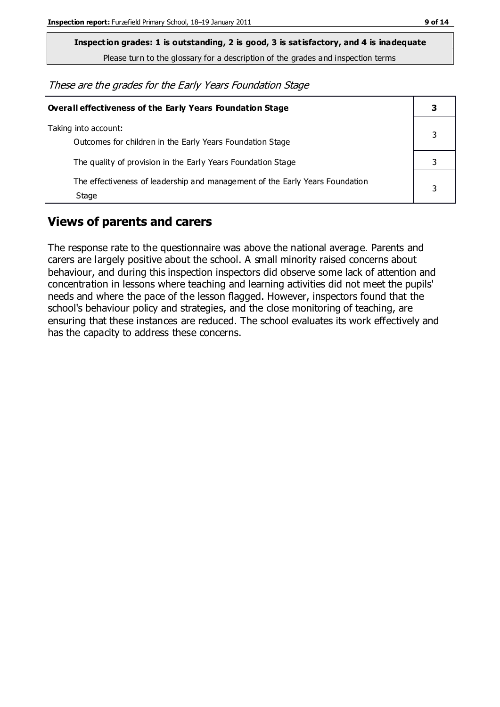**Inspection grades: 1 is outstanding, 2 is good, 3 is satisfactory, and 4 is inadequate**

Please turn to the glossary for a description of the grades and inspection terms

These are the grades for the Early Years Foundation Stage

| <b>Overall effectiveness of the Early Years Foundation Stage</b>                      |  |
|---------------------------------------------------------------------------------------|--|
| Taking into account:<br>Outcomes for children in the Early Years Foundation Stage     |  |
| The quality of provision in the Early Years Foundation Stage                          |  |
| The effectiveness of leadership and management of the Early Years Foundation<br>Stage |  |

#### **Views of parents and carers**

The response rate to the questionnaire was above the national average. Parents and carers are largely positive about the school. A small minority raised concerns about behaviour, and during this inspection inspectors did observe some lack of attention and concentration in lessons where teaching and learning activities did not meet the pupils' needs and where the pace of the lesson flagged. However, inspectors found that the school's behaviour policy and strategies, and the close monitoring of teaching, are ensuring that these instances are reduced. The school evaluates its work effectively and has the capacity to address these concerns.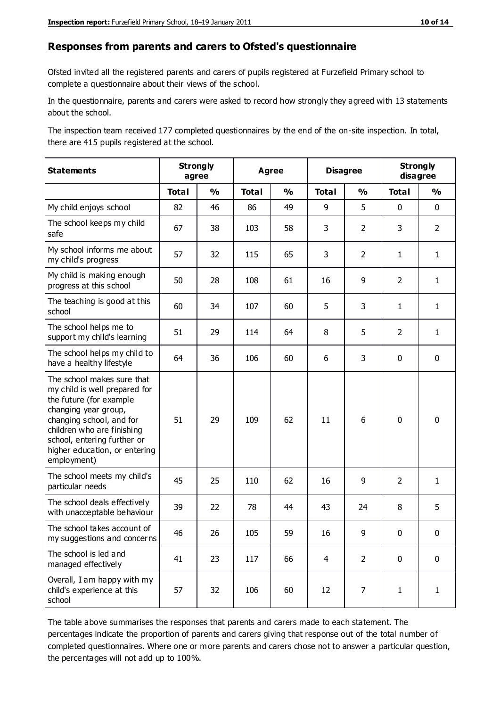#### **Responses from parents and carers to Ofsted's questionnaire**

Ofsted invited all the registered parents and carers of pupils registered at Furzefield Primary school to complete a questionnaire about their views of the school.

In the questionnaire, parents and carers were asked to record how strongly they agreed with 13 statements about the school.

The inspection team received 177 completed questionnaires by the end of the on-site inspection. In total, there are 415 pupils registered at the school.

| <b>Statements</b>                                                                                                                                                                                                                                       |              | <b>Strongly</b><br><b>Agree</b><br>agree |              |               | <b>Disagree</b> |                | <b>Strongly</b><br>disagree |                |
|---------------------------------------------------------------------------------------------------------------------------------------------------------------------------------------------------------------------------------------------------------|--------------|------------------------------------------|--------------|---------------|-----------------|----------------|-----------------------------|----------------|
|                                                                                                                                                                                                                                                         | <b>Total</b> | $\frac{0}{0}$                            | <b>Total</b> | $\frac{0}{0}$ | <b>Total</b>    | $\frac{0}{0}$  | <b>Total</b>                | $\frac{0}{0}$  |
| My child enjoys school                                                                                                                                                                                                                                  | 82           | 46                                       | 86           | 49            | 9               | 5              | 0                           | $\mathbf 0$    |
| The school keeps my child<br>safe                                                                                                                                                                                                                       | 67           | 38                                       | 103          | 58            | 3               | $\overline{2}$ | 3                           | $\overline{2}$ |
| My school informs me about<br>my child's progress                                                                                                                                                                                                       | 57           | 32                                       | 115          | 65            | 3               | 2              | $\mathbf{1}$                | $\mathbf{1}$   |
| My child is making enough<br>progress at this school                                                                                                                                                                                                    | 50           | 28                                       | 108          | 61            | 16              | 9              | $\overline{2}$              | $\mathbf{1}$   |
| The teaching is good at this<br>school                                                                                                                                                                                                                  | 60           | 34                                       | 107          | 60            | 5               | 3              | $\mathbf{1}$                | $\mathbf{1}$   |
| The school helps me to<br>support my child's learning                                                                                                                                                                                                   | 51           | 29                                       | 114          | 64            | 8               | 5              | $\overline{2}$              | $\mathbf{1}$   |
| The school helps my child to<br>have a healthy lifestyle                                                                                                                                                                                                | 64           | 36                                       | 106          | 60            | 6               | 3              | $\mathbf 0$                 | $\mathbf 0$    |
| The school makes sure that<br>my child is well prepared for<br>the future (for example<br>changing year group,<br>changing school, and for<br>children who are finishing<br>school, entering further or<br>higher education, or entering<br>employment) | 51           | 29                                       | 109          | 62            | 11              | 6              | $\mathbf 0$                 | $\mathbf 0$    |
| The school meets my child's<br>particular needs                                                                                                                                                                                                         | 45           | 25                                       | 110          | 62            | 16              | 9              | $\overline{2}$              | $\mathbf{1}$   |
| The school deals effectively<br>with unacceptable behaviour                                                                                                                                                                                             | 39           | 22                                       | 78           | 44            | 43              | 24             | 8                           | 5              |
| The school takes account of<br>my suggestions and concerns                                                                                                                                                                                              | 46           | 26                                       | 105          | 59            | 16              | 9              | 0                           | 0              |
| The school is led and<br>managed effectively                                                                                                                                                                                                            | 41           | 23                                       | 117          | 66            | $\overline{4}$  | $\overline{2}$ | $\mathbf 0$                 | $\mathbf 0$    |
| Overall, I am happy with my<br>child's experience at this<br>school                                                                                                                                                                                     | 57           | 32                                       | 106          | 60            | 12              | 7              | $\mathbf{1}$                | $\mathbf{1}$   |

The table above summarises the responses that parents and carers made to each statement. The percentages indicate the proportion of parents and carers giving that response out of the total number of completed questionnaires. Where one or more parents and carers chose not to answer a particular question, the percentages will not add up to 100%.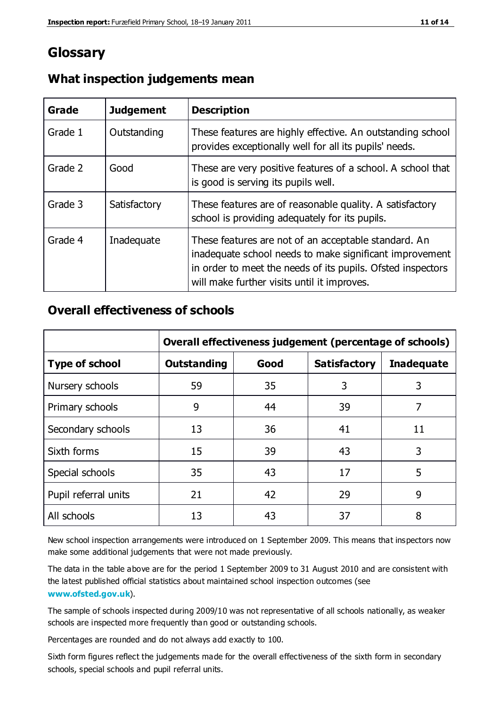### **Glossary**

| Grade   | <b>Judgement</b> | <b>Description</b>                                                                                                                                                                                                            |
|---------|------------------|-------------------------------------------------------------------------------------------------------------------------------------------------------------------------------------------------------------------------------|
| Grade 1 | Outstanding      | These features are highly effective. An outstanding school<br>provides exceptionally well for all its pupils' needs.                                                                                                          |
| Grade 2 | Good             | These are very positive features of a school. A school that<br>is good is serving its pupils well.                                                                                                                            |
| Grade 3 | Satisfactory     | These features are of reasonable quality. A satisfactory<br>school is providing adequately for its pupils.                                                                                                                    |
| Grade 4 | Inadequate       | These features are not of an acceptable standard. An<br>inadequate school needs to make significant improvement<br>in order to meet the needs of its pupils. Ofsted inspectors<br>will make further visits until it improves. |

#### **What inspection judgements mean**

#### **Overall effectiveness of schools**

|                       | Overall effectiveness judgement (percentage of schools) |      |                     |                   |
|-----------------------|---------------------------------------------------------|------|---------------------|-------------------|
| <b>Type of school</b> | <b>Outstanding</b>                                      | Good | <b>Satisfactory</b> | <b>Inadequate</b> |
| Nursery schools       | 59                                                      | 35   | 3                   | 3                 |
| Primary schools       | 9                                                       | 44   | 39                  | 7                 |
| Secondary schools     | 13                                                      | 36   | 41                  | 11                |
| Sixth forms           | 15                                                      | 39   | 43                  | 3                 |
| Special schools       | 35                                                      | 43   | 17                  | 5                 |
| Pupil referral units  | 21                                                      | 42   | 29                  | 9                 |
| All schools           | 13                                                      | 43   | 37                  | 8                 |

New school inspection arrangements were introduced on 1 September 2009. This means that inspectors now make some additional judgements that were not made previously.

The data in the table above are for the period 1 September 2009 to 31 August 2010 and are consistent with the latest published official statistics about maintained school inspection outcomes (see **[www.ofsted.gov.uk](http://www.ofsted.gov.uk/)**).

The sample of schools inspected during 2009/10 was not representative of all schools nationally, as weaker schools are inspected more frequently than good or outstanding schools.

Percentages are rounded and do not always add exactly to 100.

Sixth form figures reflect the judgements made for the overall effectiveness of the sixth form in secondary schools, special schools and pupil referral units.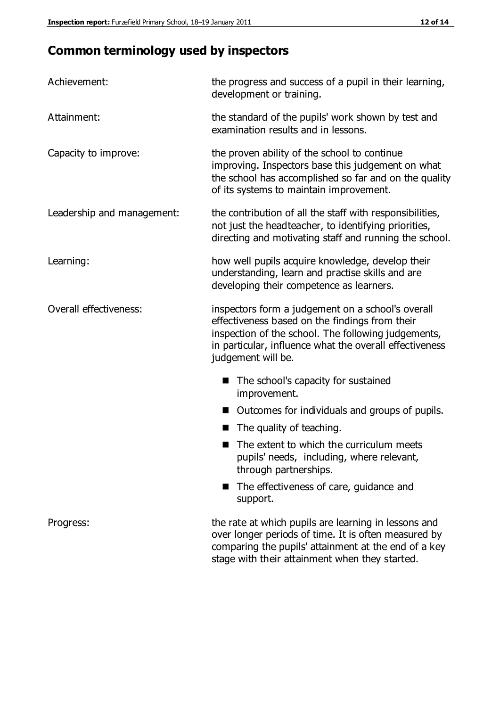## **Common terminology used by inspectors**

| Achievement:                  | the progress and success of a pupil in their learning,<br>development or training.                                                                                                                                                          |  |  |
|-------------------------------|---------------------------------------------------------------------------------------------------------------------------------------------------------------------------------------------------------------------------------------------|--|--|
| Attainment:                   | the standard of the pupils' work shown by test and<br>examination results and in lessons.                                                                                                                                                   |  |  |
| Capacity to improve:          | the proven ability of the school to continue<br>improving. Inspectors base this judgement on what<br>the school has accomplished so far and on the quality<br>of its systems to maintain improvement.                                       |  |  |
| Leadership and management:    | the contribution of all the staff with responsibilities,<br>not just the headteacher, to identifying priorities,<br>directing and motivating staff and running the school.                                                                  |  |  |
| Learning:                     | how well pupils acquire knowledge, develop their<br>understanding, learn and practise skills and are<br>developing their competence as learners.                                                                                            |  |  |
| <b>Overall effectiveness:</b> | inspectors form a judgement on a school's overall<br>effectiveness based on the findings from their<br>inspection of the school. The following judgements,<br>in particular, influence what the overall effectiveness<br>judgement will be. |  |  |
|                               | The school's capacity for sustained<br>improvement.                                                                                                                                                                                         |  |  |
|                               | Outcomes for individuals and groups of pupils.                                                                                                                                                                                              |  |  |
|                               | The quality of teaching.                                                                                                                                                                                                                    |  |  |
|                               | The extent to which the curriculum meets<br>pupils' needs, including, where relevant,<br>through partnerships.                                                                                                                              |  |  |
|                               | The effectiveness of care, guidance and<br>support.                                                                                                                                                                                         |  |  |
| Progress:                     | the rate at which pupils are learning in lessons and<br>over longer periods of time. It is often measured by<br>comparing the pupils' attainment at the end of a key                                                                        |  |  |

stage with their attainment when they started.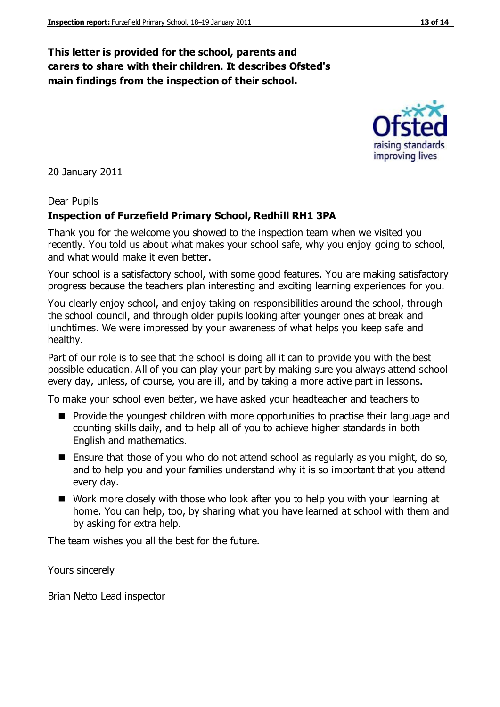#### **This letter is provided for the school, parents and carers to share with their children. It describes Ofsted's main findings from the inspection of their school.**

20 January 2011

#### Dear Pupils

#### **Inspection of Furzefield Primary School, Redhill RH1 3PA**

Thank you for the welcome you showed to the inspection team when we visited you recently. You told us about what makes your school safe, why you enjoy going to school, and what would make it even better.

Your school is a satisfactory school, with some good features. You are making satisfactory progress because the teachers plan interesting and exciting learning experiences for you.

You clearly enjoy school, and enjoy taking on responsibilities around the school, through the school council, and through older pupils looking after younger ones at break and lunchtimes. We were impressed by your awareness of what helps you keep safe and healthy.

Part of our role is to see that the school is doing all it can to provide you with the best possible education. All of you can play your part by making sure you always attend school every day, unless, of course, you are ill, and by taking a more active part in lessons.

To make your school even better, we have asked your headteacher and teachers to

- **Provide the youngest children with more opportunities to practise their language and** counting skills daily, and to help all of you to achieve higher standards in both English and mathematics.
- Ensure that those of you who do not attend school as regularly as you might, do so, and to help you and your families understand why it is so important that you attend every day.
- Work more closely with those who look after you to help you with your learning at home. You can help, too, by sharing what you have learned at school with them and by asking for extra help.

The team wishes you all the best for the future.

Yours sincerely

Brian Netto Lead inspector